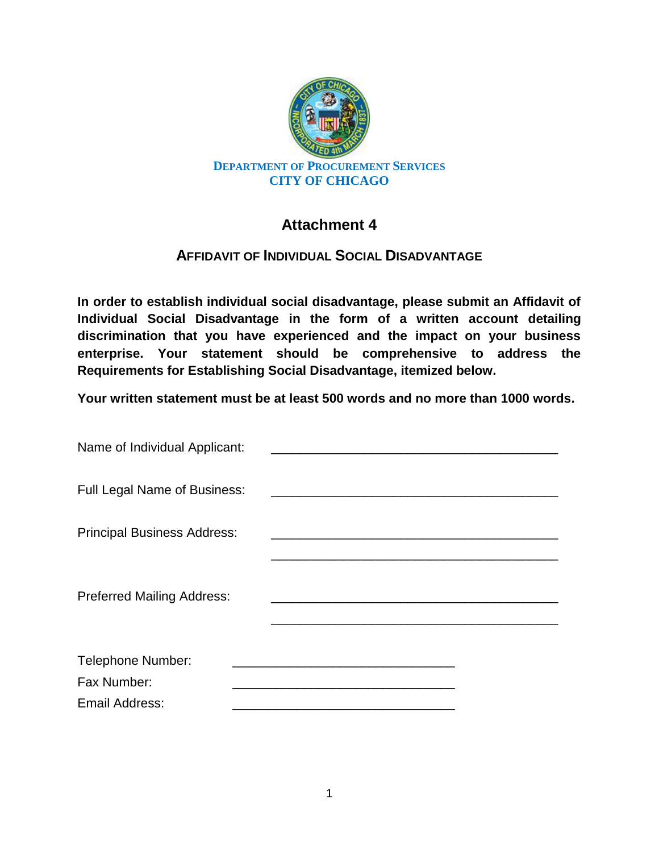

# **Attachment 4**

## **AFFIDAVIT OF INDIVIDUAL SOCIAL DISADVANTAGE**

**In order to establish individual social disadvantage, please submit an Affidavit of Individual Social Disadvantage in the form of a written account detailing discrimination that you have experienced and the impact on your business enterprise. Your statement should be comprehensive to address the Requirements for Establishing Social Disadvantage, itemized below.** 

**Your written statement must be at least 500 words and no more than 1000 words.**

| Name of Individual Applicant:       |  |
|-------------------------------------|--|
| <b>Full Legal Name of Business:</b> |  |
| <b>Principal Business Address:</b>  |  |
| <b>Preferred Mailing Address:</b>   |  |
| Telephone Number:                   |  |
| Fax Number:                         |  |
| <b>Email Address:</b>               |  |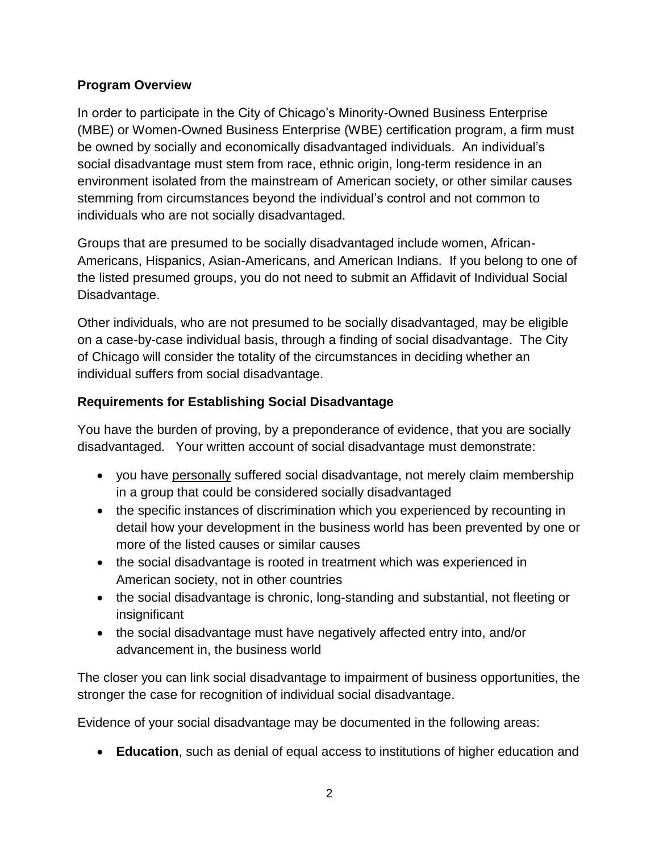#### **Program Overview**

In order to participate in the City of Chicago's Minority-Owned Business Enterprise (MBE) or Women-Owned Business Enterprise (WBE) certification program, a firm must be owned by socially and economically disadvantaged individuals. An individual's social disadvantage must stem from race, ethnic origin, long-term residence in an environment isolated from the mainstream of American society, or other similar causes stemming from circumstances beyond the individual's control and not common to individuals who are not socially disadvantaged.

Groups that are presumed to be socially disadvantaged include women, African-Americans, Hispanics, Asian-Americans, and American Indians. If you belong to one of the listed presumed groups, you do not need to submit an Affidavit of Individual Social Disadvantage.

Other individuals, who are not presumed to be socially disadvantaged, may be eligible on a case-by-case individual basis, through a finding of social disadvantage. The City of Chicago will consider the totality of the circumstances in deciding whether an individual suffers from social disadvantage.

#### **Requirements for Establishing Social Disadvantage**

You have the burden of proving, by a preponderance of evidence, that you are socially disadvantaged. Your written account of social disadvantage must demonstrate:

- you have personally suffered social disadvantage, not merely claim membership in a group that could be considered socially disadvantaged
- the specific instances of discrimination which you experienced by recounting in detail how your development in the business world has been prevented by one or more of the listed causes or similar causes
- the social disadvantage is rooted in treatment which was experienced in American society, not in other countries
- the social disadvantage is chronic, long-standing and substantial, not fleeting or insignificant
- the social disadvantage must have negatively affected entry into, and/or advancement in, the business world

The closer you can link social disadvantage to impairment of business opportunities, the stronger the case for recognition of individual social disadvantage.

Evidence of your social disadvantage may be documented in the following areas:

**Education**, such as denial of equal access to institutions of higher education and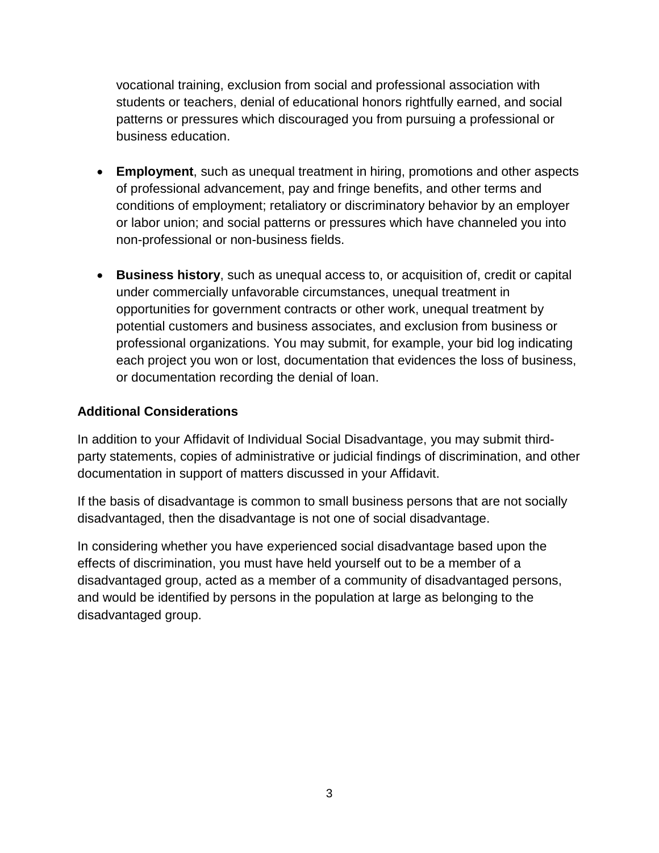vocational training, exclusion from social and professional association with students or teachers, denial of educational honors rightfully earned, and social patterns or pressures which discouraged you from pursuing a professional or business education.

- **Employment**, such as unequal treatment in hiring, promotions and other aspects of professional advancement, pay and fringe benefits, and other terms and conditions of employment; retaliatory or discriminatory behavior by an employer or labor union; and social patterns or pressures which have channeled you into non-professional or non-business fields.
- **Business history**, such as unequal access to, or acquisition of, credit or capital under commercially unfavorable circumstances, unequal treatment in opportunities for government contracts or other work, unequal treatment by potential customers and business associates, and exclusion from business or professional organizations. You may submit, for example, your bid log indicating each project you won or lost, documentation that evidences the loss of business, or documentation recording the denial of loan.

### **Additional Considerations**

In addition to your Affidavit of Individual Social Disadvantage, you may submit thirdparty statements, copies of administrative or judicial findings of discrimination, and other documentation in support of matters discussed in your Affidavit.

If the basis of disadvantage is common to small business persons that are not socially disadvantaged, then the disadvantage is not one of social disadvantage.

In considering whether you have experienced social disadvantage based upon the effects of discrimination, you must have held yourself out to be a member of a disadvantaged group, acted as a member of a community of disadvantaged persons, and would be identified by persons in the population at large as belonging to the disadvantaged group.